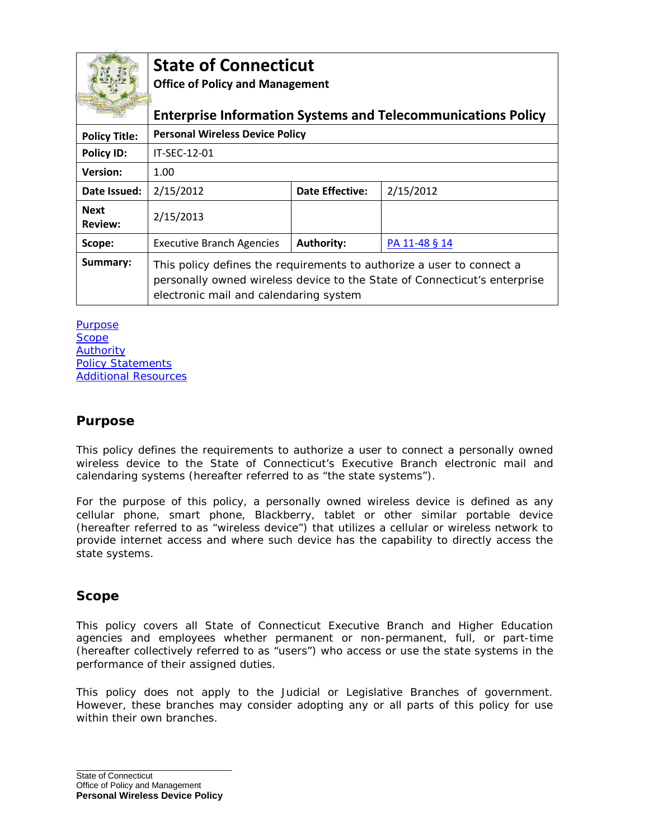

# **State of Connecticut**

**Office of Policy and Management**

| <b>COMPRANSTURY</b>           | <b>Enterprise Information Systems and Telecommunications Policy</b>                                                                                                                          |                        |               |
|-------------------------------|----------------------------------------------------------------------------------------------------------------------------------------------------------------------------------------------|------------------------|---------------|
| <b>Policy Title:</b>          | <b>Personal Wireless Device Policy</b>                                                                                                                                                       |                        |               |
| <b>Policy ID:</b>             | IT-SFC-12-01                                                                                                                                                                                 |                        |               |
| <b>Version:</b>               | 1.00                                                                                                                                                                                         |                        |               |
| Date Issued:                  | 2/15/2012                                                                                                                                                                                    | <b>Date Effective:</b> | 2/15/2012     |
| <b>Next</b><br><b>Review:</b> | 2/15/2013                                                                                                                                                                                    |                        |               |
| Scope:                        | <b>Executive Branch Agencies</b>                                                                                                                                                             | Authority:             | PA 11-48 § 14 |
| Summary:                      | This policy defines the requirements to authorize a user to connect a<br>personally owned wireless device to the State of Connecticut's enterprise<br>electronic mail and calendaring system |                        |               |

[Purpose](#page-0-0) **[Scope](#page-0-1)** [Authority](#page-0-2) [Policy Statements](#page-1-0) [Additional Resources](#page-2-0)

### <span id="page-0-0"></span>**Purpose**

This policy defines the requirements to authorize a user to connect a personally owned wireless device to the State of Connecticut's Executive Branch electronic mail and calendaring systems (hereafter referred to as "the state systems").

For the purpose of this policy, a personally owned wireless device is defined as any cellular phone, smart phone, Blackberry, tablet or other similar portable device (hereafter referred to as "wireless device") that utilizes a cellular or wireless network to provide internet access and where such device has the capability to directly access the state systems.

### <span id="page-0-1"></span>**Scope**

This policy covers all State of Connecticut Executive Branch and Higher Education agencies and employees whether permanent or non-permanent, full, or part-time (hereafter collectively referred to as "users") who access or use the state systems in the performance of their assigned duties.

<span id="page-0-2"></span>This policy does not apply to the Judicial or Legislative Branches of government. However, these branches may consider adopting any or all parts of this policy for use within their own branches.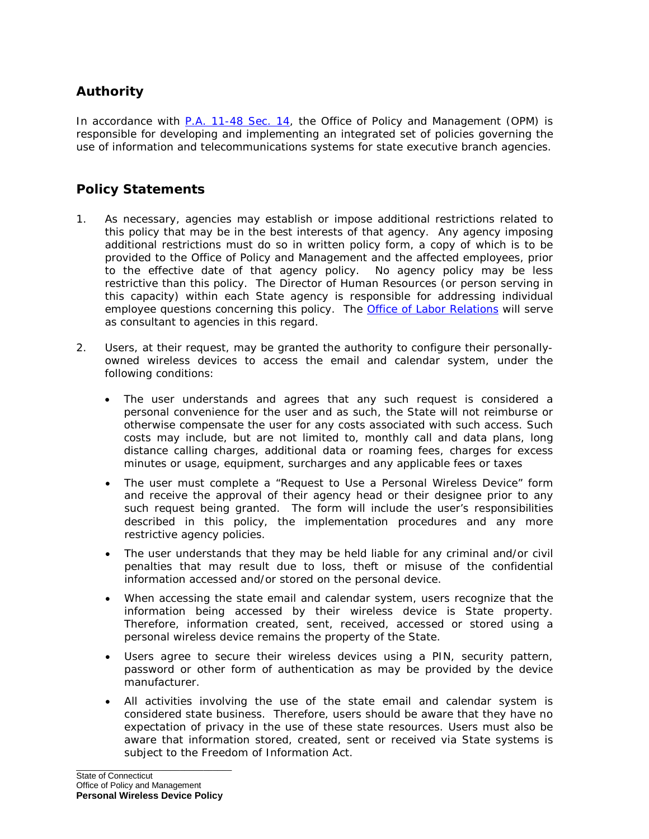## **Authority**

In accordance with [P.A. 11-48 Sec. 14,](http://www.cga.ct.gov/2011/ACT/PA/2011PA-00048-R00HB-06651-PA.htm) the Office of Policy and Management (OPM) is responsible for developing and implementing an integrated set of policies governing the use of information and telecommunications systems for state executive branch agencies.

## <span id="page-1-0"></span>**Policy Statements**

- 1. As necessary, agencies may establish or impose additional restrictions related to this policy that may be in the best interests of that agency. Any agency imposing additional restrictions must do so in written policy form, a copy of which is to be provided to the Office of Policy and Management and the affected employees, prior to the effective date of that agency policy. No agency policy may be less restrictive than this policy. The Director of Human Resources (or person serving in this capacity) within each State agency is responsible for addressing individual employee questions concerning this policy. The **[Office of Labor Relations](http://www.ct.gov/opm/cwp/view.asp?a=2992&q=383224&opmNav_GID=1792)** will serve as consultant to agencies in this regard.
- 2. Users, at their request, may be granted the authority to configure their personallyowned wireless devices to access the email and calendar system, under the following conditions:
	- The user understands and agrees that any such request is considered a personal convenience for the user and as such, the State will not reimburse or otherwise compensate the user for any costs associated with such access. Such costs may include, but are not limited to, monthly call and data plans, long distance calling charges, additional data or roaming fees, charges for excess minutes or usage, equipment, surcharges and any applicable fees or taxes
	- The user must complete a "Request to Use a Personal Wireless Device" form and receive the approval of their agency head or their designee prior to any such request being granted. The form will include the user's responsibilities described in this policy, the implementation procedures and any more restrictive agency policies.
	- The user understands that they may be held liable for any criminal and/or civil penalties that may result due to loss, theft or misuse of the confidential information accessed and/or stored on the personal device.
	- When accessing the state email and calendar system, users recognize that the information being accessed by their wireless device is State property. Therefore, information created, sent, received, accessed or stored using a personal wireless device remains the property of the State.
	- Users agree to secure their wireless devices using a PIN, security pattern, password or other form of authentication as may be provided by the device manufacturer.
	- All activities involving the use of the state email and calendar system is considered state business. Therefore, users should be aware that they have no expectation of privacy in the use of these state resources. Users must also be aware that information stored, created, sent or received via State systems is subject to the Freedom of Information Act.